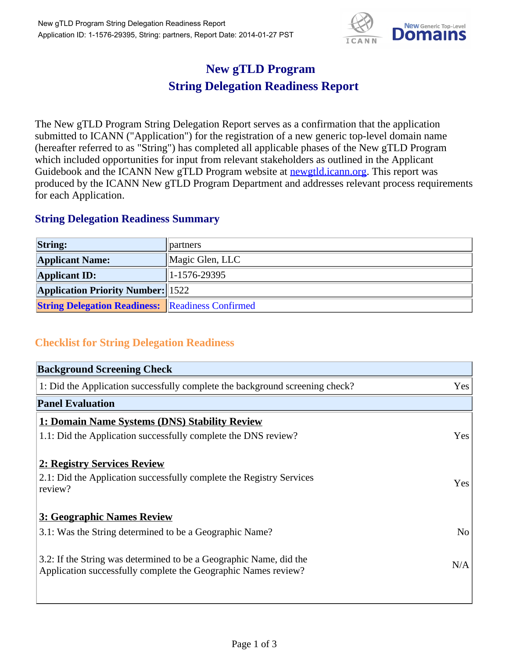

## **New gTLD Program String Delegation Readiness Report**

The New gTLD Program String Delegation Report serves as a confirmation that the application submitted to ICANN ("Application") for the registration of a new generic top-level domain name (hereafter referred to as "String") has completed all applicable phases of the New gTLD Program which included opportunities for input from relevant stakeholders as outlined in the Applicant Guidebook and the ICANN New gTLD Program website at **newgtld.jcann.org**. This report was produced by the ICANN New gTLD Program Department and addresses relevant process requirements for each Application.

## **String Delegation Readiness Summary**

| <b>String:</b>                                          | partners         |
|---------------------------------------------------------|------------------|
| <b>Applicant Name:</b>                                  | Magic Glen, LLC  |
| <b>Applicant ID:</b>                                    | $ 1-1576-29395 $ |
| <b>Application Priority Number: 1522</b>                |                  |
| <b>String Delegation Readiness: Readiness Confirmed</b> |                  |

## **Checklist for String Delegation Readiness**

| <b>Background Screening Check</b>                                                                                                    |                |
|--------------------------------------------------------------------------------------------------------------------------------------|----------------|
| 1: Did the Application successfully complete the background screening check?                                                         | Yes            |
| <b>Panel Evaluation</b>                                                                                                              |                |
| 1: Domain Name Systems (DNS) Stability Review                                                                                        |                |
| 1.1: Did the Application successfully complete the DNS review?                                                                       | Yes            |
| 2: Registry Services Review                                                                                                          |                |
| 2.1: Did the Application successfully complete the Registry Services<br>review?                                                      | Yes            |
| 3: Geographic Names Review                                                                                                           |                |
| 3.1: Was the String determined to be a Geographic Name?                                                                              | N <sub>o</sub> |
| 3.2: If the String was determined to be a Geographic Name, did the<br>Application successfully complete the Geographic Names review? | N/A            |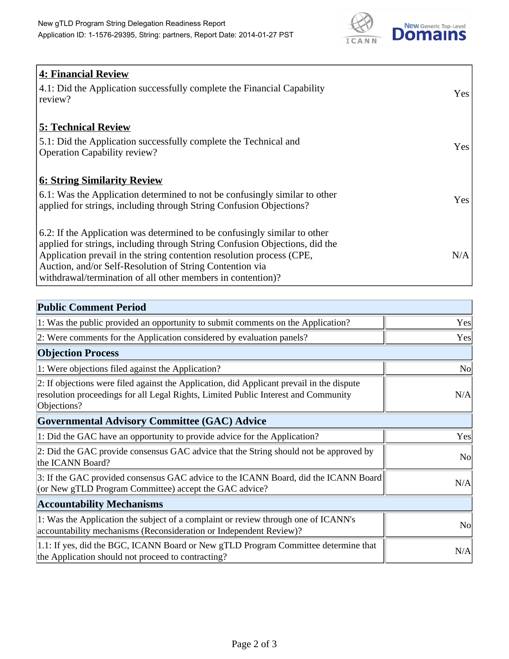

| <b>4: Financial Review</b><br>4.1: Did the Application successfully complete the Financial Capability<br>review?                                                                                                                                                                                                                                             | Yes |
|--------------------------------------------------------------------------------------------------------------------------------------------------------------------------------------------------------------------------------------------------------------------------------------------------------------------------------------------------------------|-----|
| <b>5: Technical Review</b><br>5.1: Did the Application successfully complete the Technical and<br><b>Operation Capability review?</b>                                                                                                                                                                                                                        | Yes |
| <b>6: String Similarity Review</b><br>$\vert$ 6.1: Was the Application determined to not be confusingly similar to other<br>applied for strings, including through String Confusion Objections?                                                                                                                                                              | Yes |
| 6.2: If the Application was determined to be confusingly similar to other<br>applied for strings, including through String Confusion Objections, did the<br>Application prevail in the string contention resolution process (CPE,<br>Auction, and/or Self-Resolution of String Contention via<br>withdrawal/termination of all other members in contention)? | N/A |

| <b>Public Comment Period</b>                                                                                                                                                                   |                |
|------------------------------------------------------------------------------------------------------------------------------------------------------------------------------------------------|----------------|
| 1: Was the public provided an opportunity to submit comments on the Application?                                                                                                               | Yes            |
| 2: Were comments for the Application considered by evaluation panels?                                                                                                                          | Yes            |
| <b>Objection Process</b>                                                                                                                                                                       |                |
| 1: Were objections filed against the Application?                                                                                                                                              | <b>No</b>      |
| 2: If objections were filed against the Application, did Applicant prevail in the dispute<br>resolution proceedings for all Legal Rights, Limited Public Interest and Community<br>Objections? | N/A            |
| Governmental Advisory Committee (GAC) Advice                                                                                                                                                   |                |
| 1: Did the GAC have an opportunity to provide advice for the Application?                                                                                                                      | Yes            |
| 2: Did the GAC provide consensus GAC advice that the String should not be approved by<br>the ICANN Board?                                                                                      | N <sub>o</sub> |
| 3: If the GAC provided consensus GAC advice to the ICANN Board, did the ICANN Board<br>(or New gTLD Program Committee) accept the GAC advice?                                                  | N/A            |
| <b>Accountability Mechanisms</b>                                                                                                                                                               |                |
| 1: Was the Application the subject of a complaint or review through one of ICANN's<br>accountability mechanisms (Reconsideration or Independent Review)?                                       | <b>No</b>      |
| 1.1: If yes, did the BGC, ICANN Board or New gTLD Program Committee determine that<br>the Application should not proceed to contracting?                                                       | N/A            |